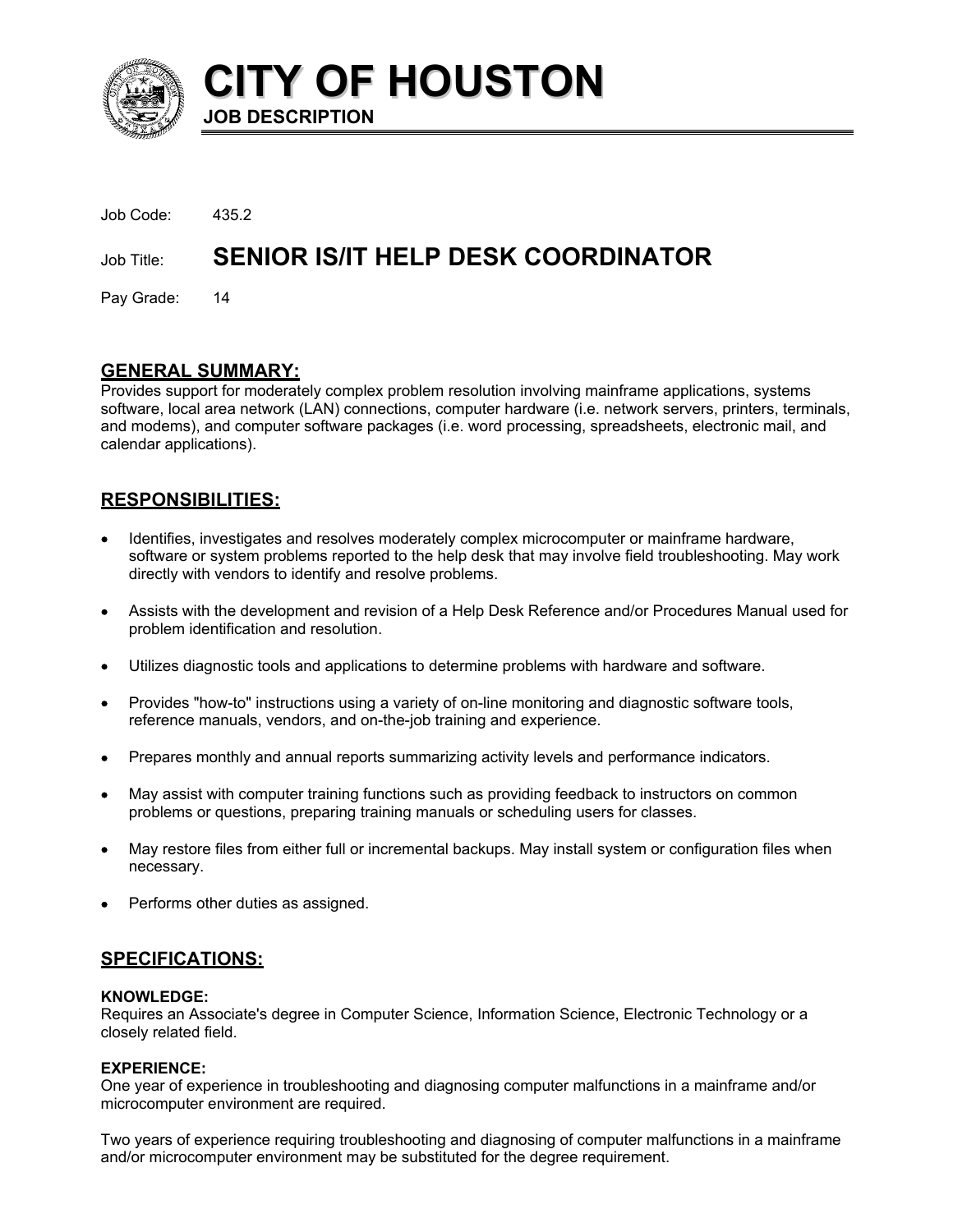

**CITY OF HOUSTON JOB DESCRIPTION** 

| Job Code:     | 435.2                                     |
|---------------|-------------------------------------------|
| Job Title:    | <b>SENIOR IS/IT HELP DESK COORDINATOR</b> |
| Pay Grade: 14 |                                           |

# **GENERAL SUMMARY:**

Provides support for moderately complex problem resolution involving mainframe applications, systems software, local area network (LAN) connections, computer hardware (i.e. network servers, printers, terminals, and modems), and computer software packages (i.e. word processing, spreadsheets, electronic mail, and calendar applications).

# **RESPONSIBILITIES:**

- Identifies, investigates and resolves moderately complex microcomputer or mainframe hardware, software or system problems reported to the help desk that may involve field troubleshooting. May work directly with vendors to identify and resolve problems.
- Assists with the development and revision of a Help Desk Reference and/or Procedures Manual used for problem identification and resolution.
- Utilizes diagnostic tools and applications to determine problems with hardware and software.
- Provides "how-to" instructions using a variety of on-line monitoring and diagnostic software tools, reference manuals, vendors, and on-the-job training and experience.
- Prepares monthly and annual reports summarizing activity levels and performance indicators.
- May assist with computer training functions such as providing feedback to instructors on common problems or questions, preparing training manuals or scheduling users for classes.
- May restore files from either full or incremental backups. May install system or configuration files when necessary.
- Performs other duties as assigned.

# **SPECIFICATIONS:**

#### **KNOWLEDGE:**

Requires an Associate's degree in Computer Science, Information Science, Electronic Technology or a closely related field.

## **EXPERIENCE:**

One year of experience in troubleshooting and diagnosing computer malfunctions in a mainframe and/or microcomputer environment are required.

Two years of experience requiring troubleshooting and diagnosing of computer malfunctions in a mainframe and/or microcomputer environment may be substituted for the degree requirement.